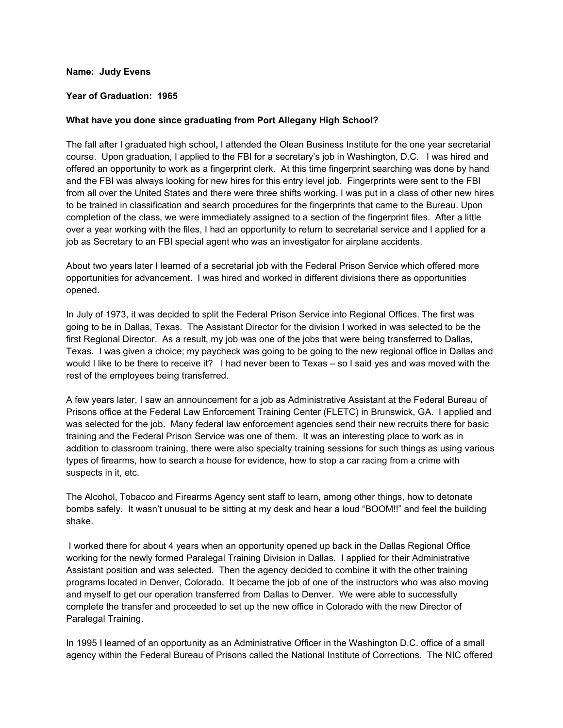## **Name: Judy Evens**

## **Year of Graduation: 1965**

#### **What have you done since graduating from Port Allegany High School?**

The fall after I graduated high school**,** I attended the Olean Business Institute for the one year secretarial course. Upon graduation, I applied to the FBI for a secretary's job in Washington, D.C. I was hired and offered an opportunity to work as a fingerprint clerk. At this time fingerprint searching was done by hand and the FBI was always looking for new hires for this entry level job. Fingerprints were sent to the FBI from all over the United States and there were three shifts working. I was put in a class of other new hires to be trained in classification and search procedures for the fingerprints that came to the Bureau. Upon completion of the class, we were immediately assigned to a section of the fingerprint files. After a little over a year working with the files, I had an opportunity to return to secretarial service and I applied for a job as Secretary to an FBI special agent who was an investigator for airplane accidents.

About two years later I learned of a secretarial job with the Federal Prison Service which offered more opportunities for advancement. I was hired and worked in different divisions there as opportunities opened.

In July of 1973, it was decided to split the Federal Prison Service into Regional Offices. The first was going to be in Dallas, Texas. The Assistant Director for the division I worked in was selected to be the first Regional Director. As a result, my job was one of the jobs that were being transferred to Dallas, Texas. I was given a choice; my paycheck was going to be going to the new regional office in Dallas and would I like to be there to receive it? I had never been to Texas – so I said yes and was moved with the rest of the employees being transferred.

A few years later, I saw an announcement for a job as Administrative Assistant at the Federal Bureau of Prisons office at the Federal Law Enforcement Training Center (FLETC) in Brunswick, GA. I applied and was selected for the job. Many federal law enforcement agencies send their new recruits there for basic training and the Federal Prison Service was one of them. It was an interesting place to work as in addition to classroom training, there were also specialty training sessions for such things as using various types of firearms, how to search a house for evidence, how to stop a car racing from a crime with suspects in it, etc.

The Alcohol, Tobacco and Firearms Agency sent staff to learn, among other things, how to detonate bombs safely. It wasn't unusual to be sitting at my desk and hear a loud "BOOM!!" and feel the building shake.

I worked there for about 4 years when an opportunity opened up back in the Dallas Regional Office working for the newly formed Paralegal Training Division in Dallas. I applied for their Administrative Assistant position and was selected. Then the agency decided to combine it with the other training programs located in Denver, Colorado. It became the job of one of the instructors who was also moving and myself to get our operation transferred from Dallas to Denver. We were able to successfully complete the transfer and proceeded to set up the new office in Colorado with the new Director of Paralegal Training.

In 1995 I learned of an opportunity as an Administrative Officer in the Washington D.C. office of a small agency within the Federal Bureau of Prisons called the National Institute of Corrections. The NIC offered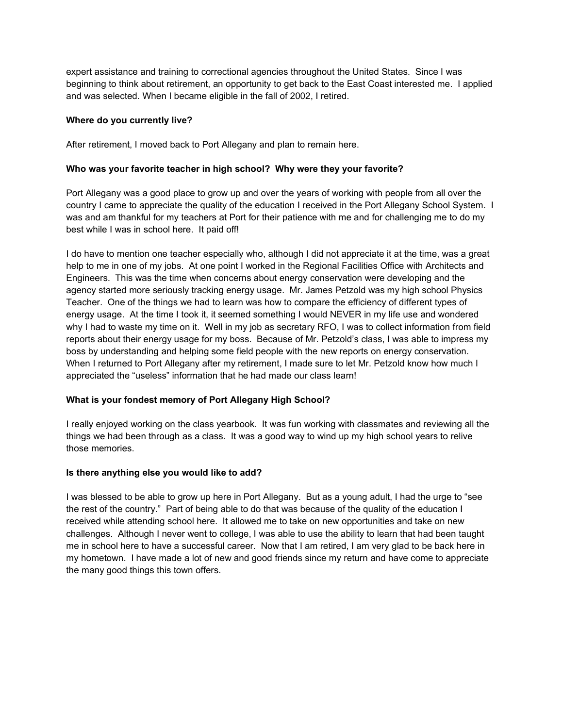expert assistance and training to correctional agencies throughout the United States. Since I was beginning to think about retirement, an opportunity to get back to the East Coast interested me. I applied and was selected. When I became eligible in the fall of 2002, I retired.

# **Where do you currently live?**

After retirement, I moved back to Port Allegany and plan to remain here.

# **Who was your favorite teacher in high school? Why were they your favorite?**

Port Allegany was a good place to grow up and over the years of working with people from all over the country I came to appreciate the quality of the education I received in the Port Allegany School System. I was and am thankful for my teachers at Port for their patience with me and for challenging me to do my best while I was in school here. It paid off!

I do have to mention one teacher especially who, although I did not appreciate it at the time, was a great help to me in one of my jobs. At one point I worked in the Regional Facilities Office with Architects and Engineers. This was the time when concerns about energy conservation were developing and the agency started more seriously tracking energy usage. Mr. James Petzold was my high school Physics Teacher. One of the things we had to learn was how to compare the efficiency of different types of energy usage. At the time I took it, it seemed something I would NEVER in my life use and wondered why I had to waste my time on it. Well in my job as secretary RFO, I was to collect information from field reports about their energy usage for my boss. Because of Mr. Petzold's class, I was able to impress my boss by understanding and helping some field people with the new reports on energy conservation. When I returned to Port Allegany after my retirement, I made sure to let Mr. Petzold know how much I appreciated the "useless" information that he had made our class learn!

# **What is your fondest memory of Port Allegany High School?**

I really enjoyed working on the class yearbook. It was fun working with classmates and reviewing all the things we had been through as a class. It was a good way to wind up my high school years to relive those memories.

## **Is there anything else you would like to add?**

I was blessed to be able to grow up here in Port Allegany. But as a young adult, I had the urge to "see the rest of the country." Part of being able to do that was because of the quality of the education I received while attending school here. It allowed me to take on new opportunities and take on new challenges. Although I never went to college, I was able to use the ability to learn that had been taught me in school here to have a successful career. Now that I am retired, I am very glad to be back here in my hometown. I have made a lot of new and good friends since my return and have come to appreciate the many good things this town offers.